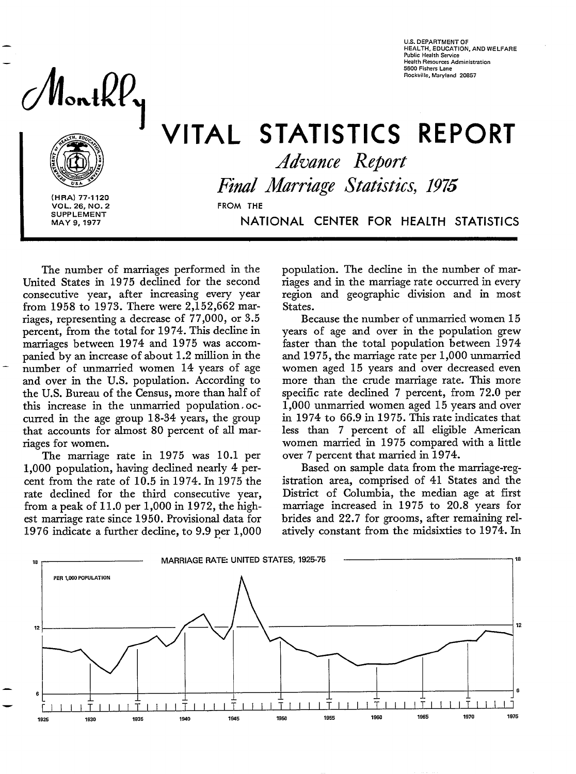**A b utile** *Martille, Maryland* 2086

**U.S. DEPARTMENT OF HEALTH. EOUCATION. AND WELFARE Public Health Service Health Resources Administration 5600 Fishers Lane** Rockville, Maryland 2085

VITAL STATISTICS REPORT



(HRA) 77-112<br>VOL. 26, NO.<br>SUPPLEMENT<br>MAY 9, 1977 VOL. 26, NO. 2 **FROM THE SUPPLEMENT** MAY 9, 1977

*Advance Report Find Marriage Statistics, 1975*  **MAY 9, 1977** NATiONAL CENTER FOR HEALTH STATISTICS

The number of marriages performed in the United States in 1975 declined for the second consecutive year, after increasing every year from 1958 to 1973. There were 2,152,662 marriages, representing a decrease of 77,000, or 3.5 percent, from the total for 1974. This decline in marriages between 1974 and 1975 was accom-<br>panied by an increase of about 1.2 million in the number of unmarried women 14 years of age and over in the U.S. population. According to the U.S. Bureau of the Census, more than half of this increase in the unmarried population, occurred in the age group 18-34 years, the group that accounts for almost 80 percent of all marriages for women.

The marriage rate in 1975 was 10.1 per 1,000 population, having declined nearly 4 percent from the rate of 10.5 in 1974. In 1975 the rate declined for the third consecutive year, from a peak of 11.0 per 1,000 in 1972, the highest marriage rate since 1950. Provisional data for 1976 indicate a further decline, to 9.9 per 1,000

population. The decIine in the number of marriages and in the marriage rate occurred in every region and geographic division and in most States.

Because the number of unmarried women 15 years of age and over in the population grew faster than the totaI population between 1974 and 1975, the marriage rate per 1,000 unmarried women aged 15 years and over decreased even more than the crude marriage rate. This more specific rate declined 7 percent, from 72.0 per 1,000 unmarried women aged 15 years and over in 1974 to 66.9 in 1975. This rate indicates that less than 7 percent of aII eIigibIe American women married in 1975 compared with a little over 7 percent that married in 1974.

Based on sample data from the marriage-registration area, comprised of 41 States and the District of Columbia, the median age at first marriage increased in 1975 to 20.8 years for brides and 22.7 for grooms, after remaining relatively constant from the midsixties to 1974. In

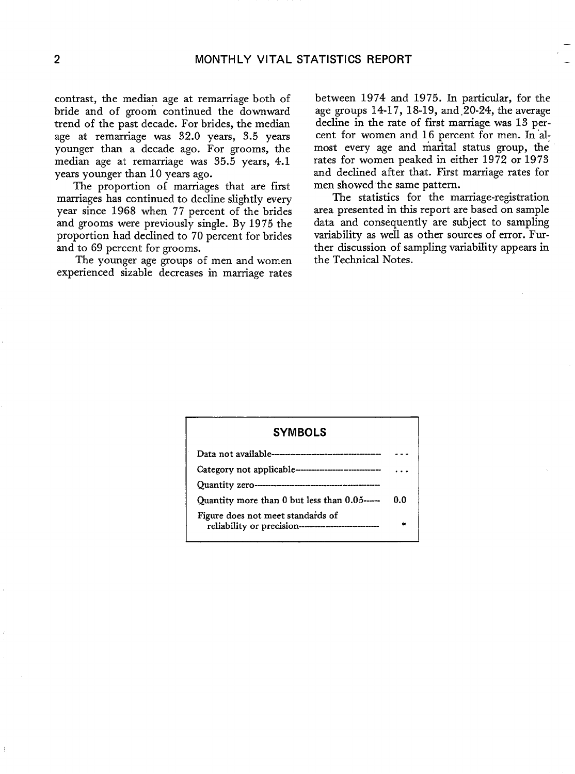contrast, the median age at remarriage both of bride and of groom continued the downward trend of the past decade. For brides, the median age at remarriage was 32.0 years, 3.5 years younger than a decade ago. For grooms, the median age at remarriage was 35.5 years, 4.1 years younger than 10 years ago.

The proportion of marriages that are first marriages has continued to decline sIightly every year since 1968 when 77 percent of the brides and grooms were previously single. By 1975 the proportion had declined to 70 percent for brides and to 69 percent for grooms.

The younger age groups of men and women experienced sizable decreases in marriage rates

between 1974 and 1975. In particular, for the age groups  $14-17$ ,  $18-19$ , and  $20-24$ , the average decline in the rate of first marriage. was 13 percent for women and 16 percent for men. In almost every age and marital status group, the rates for women peaked in either 1972 or 1973 and declined after that. First marriage rates for men showed the same pattern.

—

The statistics for the marriage-registration area presented in this report are based on sample data and consequently are subject to sampling variability as well as other sources of error. Further discussion of sampling variability appears in the Technical Notes.

# **--- ---------------- Quantity zero-------------–-----— SYMBOLS Data not available----—---------------------- Category not applicable ----------------------- . . . Quantity more than Obut less than 0.05----- 0.0 Figure does not meet standaids of \* reliability or precision--—---—--—--–—**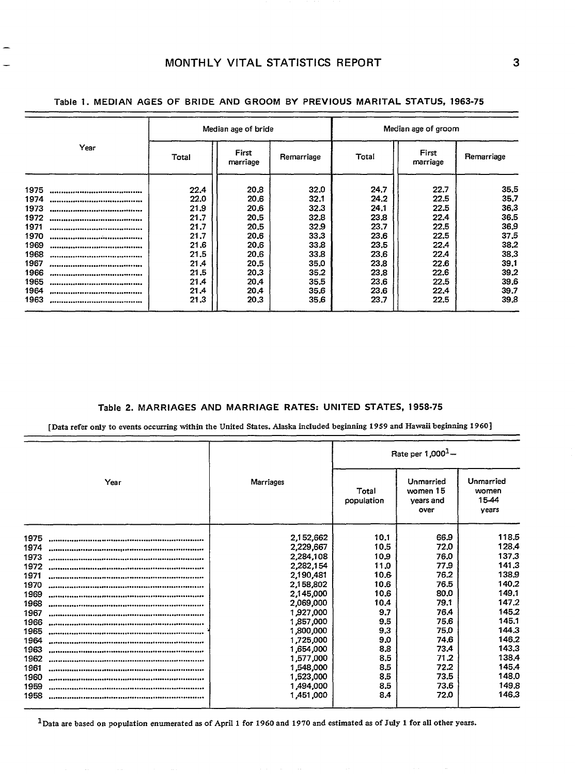—

|          |       | Median age of bride |            | Median age of groom |                   |            |  |  |
|----------|-------|---------------------|------------|---------------------|-------------------|------------|--|--|
| Year     | Total | First<br>marriage   | Remarriage | Total               | First<br>marriage | Remarriage |  |  |
| 1975     | 22.4  | 20.8                | 32.0       | 24.7                | 22.7              | 35.5       |  |  |
| 1974     | 22.0  | 20.6                | 32.1       | 24.2                | 22.5              | 35.7       |  |  |
| 1973     | 21.9  | 20.6                | 32.3       | 24.1                | 22.5              | 36.3       |  |  |
| 1972     | 21.7  | 20.5                | 32,8       | 23.8                | 22.4              | 36.5       |  |  |
| 1971     | 21.7  | 20.5                | 32.9       | 23.7                | 22.5              | 36.9       |  |  |
| 1970     | 21.7  | 20.6                | 33.3       | 23.6                | 22.5              | 37.5       |  |  |
| 1969     | 21.6  | 20.6                | 33.8       | 23.5                | 22.4              | 38.2       |  |  |
| 1968     | 21.5  | 20.6                | 33.8       | 23.6                | 22.4              | 38.3       |  |  |
| 1967     | 21.4  | 20.5                | 35.0       | 23.8                | 22.6              | 39.1       |  |  |
| 1966     | 21.5  | 20.3                | 35.2       | 23.8                | 22.6              | 39.2       |  |  |
| 1965     | 21.4  | 20.4                | 35.5       | 23.6                | 22.5              | 39.6       |  |  |
| 1964     | 21.4  | 20.4                | 35,6       | 23.6                | 22.4              | 39.7       |  |  |
| 1963<br> | 21.3  | 20.3                | 35.6       | 23.7                | 22.5              | 39.8       |  |  |
|          |       |                     |            |                     |                   |            |  |  |

**Table 1. MEDIAN AGES OF BRIDE AND** GROOM BY PREVIOUS MARITAL STATUS, 1963-75

#### **Table 2.** MARRIAGES AND MARRIAGE RATES: UNITED STATES, 1958-75

[Data refer only to events occurring within the United States. Alaska included beginning 1959 and Hawaii beginning 1960]

| Year |  |           | Rate per $1,000^1 -$ |                                            |                                      |  |  |
|------|--|-----------|----------------------|--------------------------------------------|--------------------------------------|--|--|
|      |  | Marriages | Total<br>population  | Unmarried<br>women 15<br>vears and<br>over | Unmarried<br>women<br>15-44<br>vears |  |  |
| 1975 |  | 2,152,662 | 10.1                 | 66.9                                       | 118.5                                |  |  |
| 1974 |  | 2,229,667 | 10.5                 | 72.0                                       | 128.4                                |  |  |
| 1973 |  | 2,284,108 | 10.9                 | 76.0                                       | 137.3                                |  |  |
| 1972 |  | 2,282,154 | 11.0                 | 77.9                                       | 141.3                                |  |  |
| 1971 |  | 2,190,481 | 10.6                 | 76.2                                       | 138.9                                |  |  |
| 1970 |  | 2,158,802 | 10.6                 | 76.5                                       | 140.2                                |  |  |
| 1969 |  | 2,145,000 | 10.6                 | 80.0                                       | 149.1                                |  |  |
| 1968 |  | 2,069,000 | 10,4                 | 79.1                                       | 147.2                                |  |  |
| 1967 |  | 1,927,000 | 9.7                  | 76.4                                       | 145.2                                |  |  |
| 1966 |  | 1,857,000 | 9,5                  | 75.6                                       | 145.1                                |  |  |
| 1965 |  | 1,800,000 | 9,3                  | 75.0                                       | 144.3                                |  |  |
| 1964 |  | 1,725,000 | 9.0                  | 74.6                                       | 146.2                                |  |  |
| 1963 |  | 1,654,000 | 8.8                  | 73.4                                       | 143.3                                |  |  |
| 1962 |  | 1,577,000 | 8.5                  | 71.2                                       | 138.4                                |  |  |
| 1961 |  | 1,548,000 | 8.5                  | 72.2                                       | 145.4                                |  |  |
| 1960 |  | 1,523,000 | 8.5                  | 73.5                                       | 148,0                                |  |  |
| 1959 |  | 1,494,000 | 8.5                  | 73.6                                       | 149.8                                |  |  |
| 1958 |  | 1,451,000 | 8.4                  | 72.0                                       | 146.3                                |  |  |

 $1$ Data are based on population enumerated as of April 1 for 1960 and 1970 and estimated as of July 1 for all other years.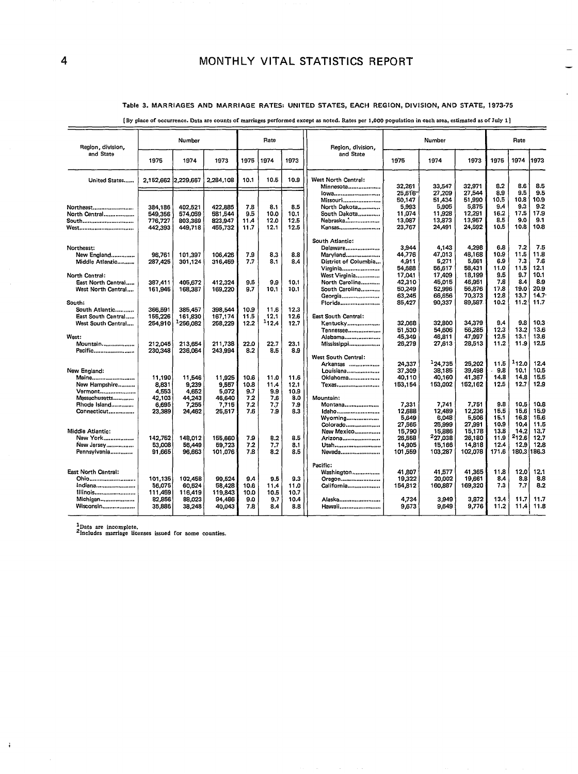### **Table 3. MARRIAGES AND MARRIAGE RATES: UNITED STATES, EACH REGION, DIVISION, AND STATE, 1973-75**

.

| Region, division.        |                     | Number         |                |             | Rate        |              | Region, division,                | Number           |                     |                  | Rate         |              |              |
|--------------------------|---------------------|----------------|----------------|-------------|-------------|--------------|----------------------------------|------------------|---------------------|------------------|--------------|--------------|--------------|
| and State                | 1975                | 1974           | 1973           | 1975        | 1974        | 1973         | and State                        | 1975             | 1974                | 1973             | 1975         | 1974         | 1973         |
| United States            | 2,152,662 2,229,667 |                | 2,284,108      | 10.1        | 10.5        | 10.9         | West North Central:<br>Minnesota | 32,261           | 33.547              | 32.971           | 8.2          | 8.6          | 8.5          |
|                          |                     |                |                |             |             |              | lowa                             | 25.616           | 27.209              | 27.544           | 8.9          | 9.5          | 9.5          |
|                          |                     |                |                |             |             |              | Missouri                         | 50,147           | 51,434              | 51,990           | 10.5         | 10.8         | 10.9         |
| Northeast                | 384,186             | 402,521        | 422,885        | 7.8         | 8.1         | 8.5          | North Dakota                     | 5,993            | 5,905               | 5,875            | 9.4          | 9.3          | 9.2          |
| North Central            | 549,356             | 574,059        | 581,544        | 9.5         | 10.0        | 10.1         | South Dakota                     | 11,074           | 11,928              | 12,291           | 16.2         | 17.5         | 17.9         |
| South <i></i>            | 776,727             | 803,369        | 823,947        | 11.4        | 12.0        | 12.5         | Nebraska                         | 13,087           | 13.873              | 13,957           | 8.5          | 9.0          | 9.1          |
| West                     | 442,393             | 449,718        | 455,732        | 11.7        | 12.1        | 12.5         | Kansas                           | 23,767           | 24,491              | 24,592           | 10.5         | 10.8         | 10.8         |
|                          |                     |                |                |             |             |              | South Atlantic:                  |                  |                     |                  |              |              |              |
| Northeast:               |                     |                |                |             |             |              | Delaware                         | 3.944            | 4,143               | 4,298            | 6.8          | 7.2          | 7.5          |
| New England              | 96.761              | 101,397        | 106,426        | 7.9         | 8,3         | 8.8          | Maryland                         | 44,776           | 47,013              | 48.168           | 10.9         | 11.5         | 11.8         |
| Middle Atlantic          | 287,425             | 301,124        | 316,459        | 7.7         | 8.1         | 8.4          | District of Columbia             | 4,911            | 5,271               | 5.661            | 6.9          | 7.3          | 7.6          |
|                          |                     |                |                |             |             |              | Virginia                         | 54,688           | 56,617              | 58,431           | 11.0         | 11.5         | 12.1         |
| North Central:           |                     |                |                |             |             |              | West Virginia                    | 17,041           | 17,409              | 18,199           | 9.5          | 9.7          | 10.1         |
| East North Central       | 387,411             | 405,672        | 412,324        | 9.5         | 9.9         | 10.1         | North Carolina                   | 42,310           | 45,015              | 46,951           | 7.8<br>17.8  | 8.4<br>19.0  | 8.9<br>20.9  |
| West North Central       | 161,945             | 168,387        | 169,220        | 9.7         | 10.1        | 10.1         | South Carolina                   | 50,249           | 52,996              | 56,876<br>70,373 | 12.8         | 13.7         | 14.7         |
| South:                   |                     |                |                |             |             |              | Georgia<br><b>Florida</b>        | 63,245<br>85,427 | 66,656<br>90,337    | 89,587           | 10.2         | 11.2         | 11.7         |
| South Atlantic           | 366,591             | 385,457        | 398,544        | 10.9        | 11.6        | 12.3         |                                  |                  |                     |                  |              |              |              |
| East South Central       | 155,226             | 161,830        | 167,174        | 11,5        | 12.1        | 12.6         | East South Central:              |                  |                     |                  |              |              |              |
| West South Central       | 254,910             | 1256,082       | 258,229        | 12.2        | 112.4       | 12.7         | Kentucky                         | 32.068           | 32.800              | 34.379           | 9.4          | 9.8          | 10.3         |
|                          |                     |                |                |             |             |              | Tennessee                        | 51,530           | 54.606              | 56,285           | 12.3         | 13.2         | 13.6         |
| West:                    |                     |                |                |             |             |              | Alabama                          | 45,349           | 46,811              | 47,997           | 12.5         | 13.1         | 13,6         |
| Mountain                 | 212.045             | 213.654        | 211,738        | 22.0        | 22.7        | 23.1         | Mississippi                      | 26,279           | 27,613              | 28,513           | 11.2         | 11.9         | 12.5         |
| Pacific                  | 230,348             | 236,064        | 243,994        | 8.2         | 8.5         | 8.9          |                                  |                  |                     |                  |              |              |              |
|                          |                     |                |                |             |             |              | West South Central:              |                  |                     |                  |              |              |              |
|                          |                     |                |                |             |             |              | Arkansas                         | 24,337           | <sup>1</sup> 24.735 | 25,202           | 11.5         | 112.0        | 12.4         |
| New England:             |                     |                |                |             |             |              | Louisiana                        | 37,309           | 38.185              | 39,498           | 9.8          | 10.1         | 10.5         |
| Maine                    | 11,190              | 11,546         | 11,925         | 10.6        | 11.0        | 11.6         | Oklahoma                         | 40,110           | 40,160              | 41,367           | 14.8<br>12.5 | 14.8<br>12.7 | 15.5<br>12.9 |
| New Hampshire            | 8,831<br>4,553      | 9,239<br>4.652 | 9,557<br>5.072 | 10.8<br>9,7 | 11.4<br>9.9 | 12.1<br>10.9 | Texas                            | 153.154          | 153,002             | 152,162          |              |              |              |
| Vermont<br>Massachusetts | 42.103              | 44,243         | 46,640         | 7.2         | 7.6         | 8.0          | Mountain:                        |                  |                     |                  |              |              |              |
| Rhode Island             | 6.695               | 7,255          | 7.715          | 7.2         | 7.7         | 7.9          | Montana                          | 7,331            | 7,741               | 7,751            | 9.8          | 10.5         | 10,8         |
| Connecticut              | 23,389              | 24,462         | 26,517         | 7.6         | 7.9         | 8.3          | Idaho                            | 12,688           | 12,489              | 12,236           | 15.5         | 15.6         | 15,9         |
|                          |                     |                |                |             |             |              | Wyoming                          | 5,649            | 6,048               | 5,506            | 15.1         | 16.3         | 15.6         |
|                          |                     |                |                |             |             |              | Colorado                         | 27,565           | 25.999              | 27.991           | 10.9         | 10.4         | 11.5         |
| Middle Atlantic:         |                     |                |                |             |             |              | New Mexico                       | 15,790           | 15,886              | 15,178           | 13.8         | 14.2         | 13.7         |
| New York                 | 142.752             | 148.012        | 155,660        | 7.9         | 8.2         | 8.5          | Arizona                          | 26.558           | 227,038             | 26,180           | 11.9         | 212,6        | 12.7         |
| New Jersey               | 53,008              | 56,449         | 59,723         | 7.2         | 7.7         | 8.1          | Utah                             | 14,905           | 15,166              | 14.818           | 12.4         | 12.9         | 12.8         |
| Pennsylvania             | 91.665              | 96.663         | 101.076        | 7.8         | 8.2         | 8.5          | Nevada                           | 101.559          | 103.287             | 102,078          | 171.6        | 180.3        | 186.3        |
|                          |                     |                |                |             |             |              | Pacific:                         |                  |                     |                  |              |              |              |
| East North Central:      |                     |                |                |             |             |              | Washington                       | 41,807           | 41,577              | 41,365           | 11.8         | 12.0         | 12.1         |
| Ohio                     | 101.135             | 102,458        | 99.524         | 9.4         | 9.5         | 9.3          | Oregon                           | 19.322           | 20,002              | 19,661           | 8.4          | 8.8          | 8.8          |
| Indiana                  | 56.075              | 60.524         | 58,428         | 10.6        | 11.4        | 11.0         | California                       | 154,812          | 160,887             | 169,320          | 7.3          | 7.7          | 8.2          |
| Illinois                 | 111,459             | 116,419        | 119,843        | 10.0        | 10.5        | 10.7         |                                  |                  |                     |                  |              |              |              |
| Michigan                 | 82,856              | 88,023         | 94,486         | 9.0         | 9.7         | 10.4         | Alaska                           | 4,734            | 3,949               | 3,872            | 13.4         | 11.7         | 11.7         |
| Wisconsin                | 35,886              | 38,248         | 40.043         | 7.8         | 8.4         | 8.8          | Hawaii                           | 9,673            | 9,649               | 9,776            | 11.2         | 11.4         | 11.8         |
|                          |                     |                |                |             |             |              |                                  |                  |                     |                  |              |              |              |

**[BY Place of occurrence. Data are counts of marriages performed except as noted. Rates per 1,000 population in each area, estimated as of ruly 1]** 

**lData are incomplete. 'Includes marriage licenses issued for some counties.**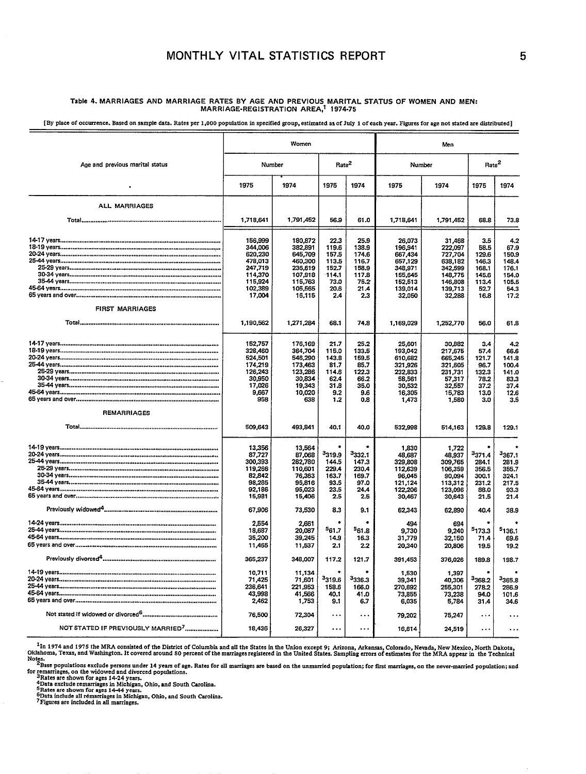## **MONTHLY VITAL STATISTICS REPORT** 5

## Table 4. MARRIAGES AND MARRIAGE RATES BY AGE AND PREVIOUS MARITAL STATUS OF WOMEN AND MEN<br>MARRIAGE-REGISTRATION AREA,<sup>1</sup> 1974-75

[By place of occurrence. Based on sample data. Rates per 1,000 population in specified group, estimated as of July 1 of each year. Figures for age not stated are distributed]

|                                               | Women                                                                                          |                                                                                                |                                                                             | Men                                                                      |                                                                                               |                                                                                               |                                                                                |                                                                                |
|-----------------------------------------------|------------------------------------------------------------------------------------------------|------------------------------------------------------------------------------------------------|-----------------------------------------------------------------------------|--------------------------------------------------------------------------|-----------------------------------------------------------------------------------------------|-----------------------------------------------------------------------------------------------|--------------------------------------------------------------------------------|--------------------------------------------------------------------------------|
| Age and previous marital status               | Number                                                                                         | Rate <sup>2</sup>                                                                              |                                                                             | Number                                                                   |                                                                                               | Rate <sup>2</sup>                                                                             |                                                                                |                                                                                |
|                                               | 1975                                                                                           | 1974                                                                                           | 1975                                                                        | 1974                                                                     | 1975                                                                                          | 1974                                                                                          | 1975                                                                           | 1974                                                                           |
| ALL MARRIAGES                                 |                                                                                                |                                                                                                |                                                                             |                                                                          |                                                                                               |                                                                                               |                                                                                |                                                                                |
|                                               | 1,718,641                                                                                      | 1,791,452                                                                                      | 56.9                                                                        | 61.0                                                                     | 1,718,641                                                                                     | 1,791,452                                                                                     | 68.8                                                                           | 73.8                                                                           |
|                                               | 156,999<br>344,006<br>620,230<br>478,013<br>247,719<br>114,370<br>115,924<br>102,389<br>17,004 | 180,872<br>382,891<br>645,709<br>460,300<br>236,619<br>107,918<br>115.763<br>105,565<br>16,115 | 22.3<br>119.6<br>157.5<br>113.5<br>152.7<br>114.1<br>73.0<br>20.6<br>2.4    | 25.9<br>138.9<br>174.6<br>116.7<br>158.9<br>117.8<br>75.2<br>21.4<br>2.3 | 26,073<br>196,941<br>667,434<br>657,129<br>348,971<br>155.645<br>152,513<br>139,014<br>32,050 | 31,468<br>222,097<br>727,704<br>638,182<br>342,599<br>148,775<br>146,808<br>139,713<br>32,288 | 3.5<br>58.5<br>129.6<br>146.3<br>168.1<br>145.6<br>113.4<br>52.7<br>16.8       | 4.2<br>67.9<br>150,9<br>148.4<br>176.1<br>154.0<br>105.5<br>54.3<br>17.2       |
| <b>FIRST MARRIAGES</b>                        | 1,190,562                                                                                      | 1,271,284                                                                                      | 68.1                                                                        | 74.8                                                                     | 1,169,029                                                                                     | 1,252,770                                                                                     | 56.0                                                                           | 61.8                                                                           |
|                                               | 152.757<br>328,460<br>524,501<br>174,219<br>126,243<br>30,950<br>17,026<br>9,667<br>958        | 176,169<br>364,704<br>546,290<br>173,463<br>123,286<br>30,834<br>19.343<br>10,020<br>638       | 21.7<br>115.0<br>143.8<br>81.7<br>114.6<br>62.4<br>31.8<br>9.2<br>1.2       | 25.2<br>133.5<br>159,5<br>85.7<br>122.3<br>66.2<br>35.0<br>9.6<br>0.8    | 25,601<br>193,042<br>610,682<br>321,926<br>232,833<br>58,561<br>30,532<br>16,305<br>1,473     | 30.882<br>217,675<br>665,245<br>321,605<br>231.731<br>57,317<br>32,557<br>15,783<br>1,580     | 3.4<br>57.4<br>121.7<br>96.7<br>132.3<br>78.2<br>37.2<br>13.0<br>3.0           | 4.2<br>66.6<br>141.8<br>100.4<br>141.0<br>83.3<br>37.4<br>12.6<br>3.5          |
| <b>REMARRIAGES</b>                            | 509,643                                                                                        | 493,841                                                                                        | 40.1                                                                        | 40.0                                                                     | 532,998                                                                                       | 514,163                                                                                       | 129.8                                                                          | 129.1                                                                          |
|                                               | 13,356<br>87,727<br>300,393<br>119,266<br>82,842<br>98.285<br>92.186<br>15,981<br>67,906       | 13,564<br>87,068<br>282,780<br>110,601<br>76,363<br>95,816<br>95,023<br>15,406<br>73,530       | <sup>3</sup> 319.9<br>144.5<br>229.4<br>163.7<br>93.5<br>23.5<br>2.5<br>8.3 | 3332.1<br>147.3<br>230.4<br>169.7<br>97.0<br>24.4<br>2.5<br>9.1          | 1,830<br>48,687<br>329,808<br>112,639<br>96,045<br>121,124<br>122,206<br>30,467<br>62,343     | 1,722<br>48,937<br>309,765<br>106,359<br>90,094<br>113,312<br>123,096<br>30,643<br>62,890     | <sup>3</sup> 371.4<br>284.1<br>356.5<br>300.1<br>231.2<br>88.0<br>21.5<br>40.4 | <sup>3</sup> 367.1<br>281.9<br>355.7<br>324.1<br>217.5<br>93.3<br>21.4<br>38.9 |
|                                               | 2,554<br>18,687<br>35,200<br>11,465<br>365,237                                                 | 2,661<br>20,087<br>39,245<br>11,537                                                            | 561.7<br>14.9<br>2.1                                                        | 561.8<br>16.3<br>2.2                                                     | 494<br>9,730<br>31,779<br>20,340                                                              | 694<br>9,240<br>32,150<br>20,806                                                              | 5173.3<br>71.4<br>19.5                                                         | 5 <sub>136.1</sub><br>69.6<br>19.2                                             |
|                                               | 10,711<br>71,425<br>236,641<br>43,998<br>2,462                                                 | 348,007<br>11,134<br>71,601<br>221,953<br>41,566<br>1,753                                      | 117.2<br><sup>3</sup> 319.6<br>158.6<br>40.1<br>9.1                         | 121.7<br>3336.3<br>166.0<br>41.0<br>6.7                                  | 391,453<br>1,530<br>39,341<br>270,692<br>73,855<br>6,035                                      | 376,026<br>1,397<br>40,306<br>255,301<br>73,238<br>5,784                                      | 189.8<br><sup>3</sup> 368.2<br>278.2<br>94.0<br>31.4                           | 198.7<br>3365.8<br>286.9<br>101.6<br>34.6                                      |
|                                               | 76,500                                                                                         | 72,304                                                                                         | $\cdots$                                                                    | $\ddotsc$                                                                | 79,202                                                                                        | 75,247                                                                                        | $\ddotsc$                                                                      | $\ddotsc$                                                                      |
| NOT STATED IF PREVIOUSLY MARRIED <sup>7</sup> | 18,436                                                                                         | 26,327                                                                                         | $\ddotsc$                                                                   | $\ddotsc$                                                                | 16,614                                                                                        | 24,519                                                                                        | .                                                                              | $\ddotsc$                                                                      |

In 1974 and 1975 the MRA consisted of the District of Columbia and all the States in the Union except 9; Arizona, Arkansas, Colorado, Nevada, New Mexico, North Dakota للعبير - In 1974 and 1975 the MRA consisted of the Dist

Notes.<br>These populations exclude persons under 14 years of age. Rates for all marriages are based on the unmarried population; for first marriages, on the never-married population; and<br>for remarriages, on the widowed and d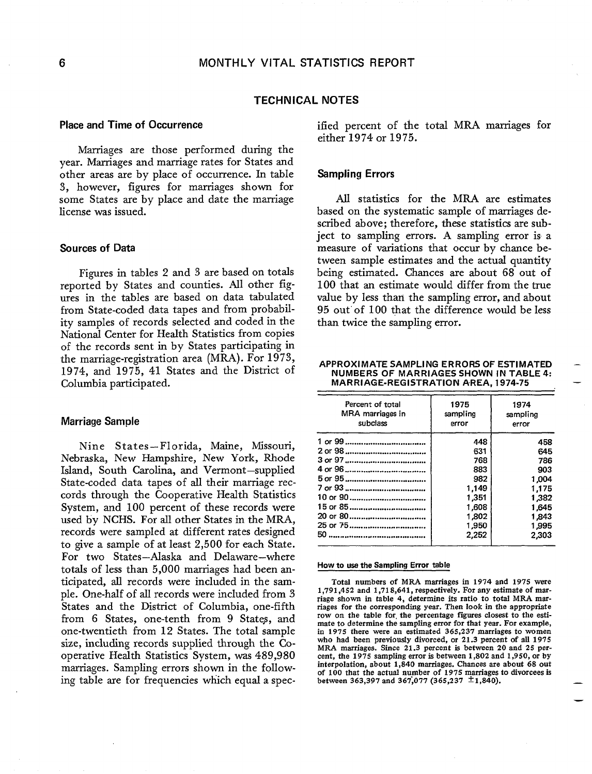### **TECHNICAL NOTES**

## **Place and Time of Occurrence**

Marriages are those performed during the year. Marriages and marriage rates for States and other areas are by place of occurrence. In table 3, however, figures for marriages shown for some States are by place and date the marriage license was issued.

### **Sources of Data**

Figures in tables 2 and 3 are based on totals reported by States and counties. All other figures in the tables are based on data tabulated from State-coded data tapes and from probability samples of records selected and coded in the National Center for Health Statistics from copies of the records sent in by States participating in the marriage-registration area (MRA). For 1973, 1974, and 1975, 41 States and the District of Columbia participated.

### **Marriage Sample**

Nine States–Florida, Maine, Missouri, Nebraska, New Hampshire, New York, Rhode Island, South Carolina, and Vermont–supplied State-coded data tapes of all their marriage reccords through the Cooperative Health Statistics System, and 100 percent of these records were used by NCHS. For all other States in the MRA, records were sampIed at different rates designed to give a sample of at least 2,500 for each State. For two States–Alaska and Delaware–where totals of less than 5,000 marriages had been anticipated, all records were included in the sample. One-half of all records were incIuded from 3 States and the District of Columbia, one-fifth from 6 States, one-tenth from 9 States, and one-twentieth from 12 States. The total sample size, including records supplied through the Cooperative Health Statistics System, was 489,980 marriages. Sampling errors shown in the following table are for frequencies which equal a specified percent of the total MRA marriages for either 1974 or 1975.

## **Sampling Errors**

All statistics for the MRA are estimates based on the systematic sample of marriages described above; therefore, these statistics are subject to sampling errors. A sampling error is a measure of variations that occur by chance between sample estimates and the actual quantity being estimated. Chances are about 68 out of 100 that an estimate would differ from the true value by Iess than the sampling error, and about 95 out' of 100 that the difference would be less than twice the sampling error.

#### **APPROXIMATE SAMPLING ERRORS OF ESTIMATED – NUMBERS OF MARRIAGES SHOWN IN TABLE 4: MARRIAGE-REGISTRATION AREA, 1974-75 —**

| Percent of total<br>MRA marriages in<br>subclass | 1975<br>sampling<br>error | 1974<br>sampling<br>error |  |  |
|--------------------------------------------------|---------------------------|---------------------------|--|--|
|                                                  | 448                       | 458                       |  |  |
|                                                  | 631                       | 645                       |  |  |
|                                                  | 768                       | 786                       |  |  |
|                                                  | 883                       | 903                       |  |  |
|                                                  | 982                       | 1.004                     |  |  |
|                                                  | 1,149                     | 1,175                     |  |  |
|                                                  | 1,351                     | 1,382                     |  |  |
| 15 or 85                                         | 1,608                     | 1.645                     |  |  |
|                                                  | 1,802                     | 1.843                     |  |  |
| 25 or 75                                         | 1,950                     | 1,995                     |  |  |
|                                                  | 2,252                     | 2.303                     |  |  |

#### **How to use the Sampling Error table**

Total numbers of MRA marriages in 1974 and 1975 were 1,791 ,4S2 and 1,718,641, respectively. For any estimate of marriage shown in table 4, determine its ratio to total MRA marriages for the corresponding year. Then look in the appropria row on the table for, the percentage figures closest to the estimate to determine the sampling error for that year. For example, in 1975 there were an estimated 365,237 marriages to women who had been previously divorced, or 21.3 percent of all 1975 MRA marriages. Since 21.3 percent is between 20 and 25 percent, the 1975 sampling error is between 1,802 and 1,950, or by interpolation, about 1,840 marriages. Chances are about 68 out of 100 that the actual number of 1975 marriages to divorcees is between 363,397 and 367,077 (365,237  $\pm$ 1,840).